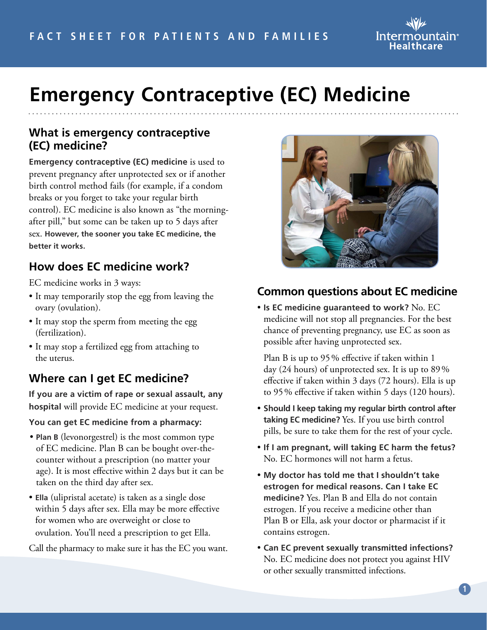

# **Emergency Contraceptive (EC) Medicine**

#### **What is emergency contraceptive (EC) medicine?**

**Emergency contraceptive (EC) medicine** is used to prevent pregnancy after unprotected sex or if another birth control method fails (for example, if a condom breaks or you forget to take your regular birth control). EC medicine is also known as "the morningafter pill," but some can be taken up to 5 days after sex. **However, the sooner you take EC medicine, the better it works.** 

## **How does EC medicine work?**

EC medicine works in 3 ways:

- It may temporarily stop the egg from leaving the ovary (ovulation).
- It may stop the sperm from meeting the egg (fertilization).
- It may stop a fertilized egg from attaching to the uterus.

### **Where can I get EC medicine?**

**If you are a victim of rape or sexual assault, any hospital** will provide EC medicine at your request.

#### **You can get EC medicine from a pharmacy:**

- **Plan B** (levonorgestrel) is the most common type of EC medicine. Plan B can be bought over-thecounter without a prescription (no matter your age). It is most effective within 2 days but it can be taken on the third day after sex.
- **Ella** (ulipristal acetate) is taken as a single dose within 5 days after sex. Ella may be more effective for women who are overweight or close to ovulation. You'll need a prescription to get Ella.

Call the pharmacy to make sure it has the EC you want.



#### **Common questions about EC medicine**

• **Is EC medicine guaranteed to work?** No. EC medicine will not stop all pregnancies. For the best chance of preventing pregnancy, use EC as soon as possible after having unprotected sex.

Plan B is up to 95% effective if taken within 1 day (24 hours) of unprotected sex. It is up to 89% effective if taken within 3 days (72 hours). Ella is up to 95% effective if taken within 5 days (120 hours).

- **Should I keep taking my regular birth control after taking EC medicine?** Yes. If you use birth control pills, be sure to take them for the rest of your cycle.
- **If I am pregnant, will taking EC harm the fetus?** No. EC hormones will not harm a fetus.
- **My doctor has told me that I shouldn't take estrogen for medical reasons. Can I take EC medicine?** Yes. Plan B and Ella do not contain estrogen. If you receive a medicine other than Plan B or Ella, ask your doctor or pharmacist if it contains estrogen.
- **Can EC prevent sexually transmitted infections?**  No. EC medicine does not protect you against HIV or other sexually transmitted infections.